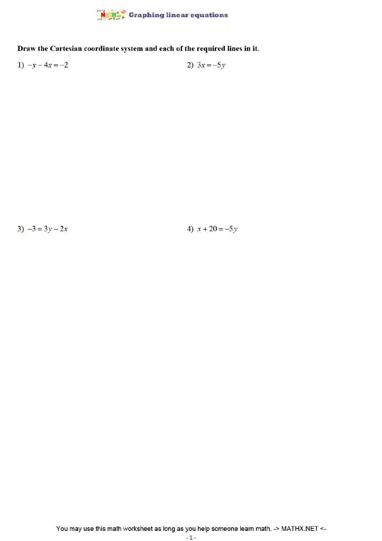

Draw the Cartesian coordinate system and each of the required lines in it.

1)  $-y - 4x = -2$ 2)  $3x = -5y$ 

3)  $-3 = 3y - 2x$ 

4)  $x + 20 = -5y$ 

You may use this math worksheet as long as you help someone learn math. -> MATHX.NET <-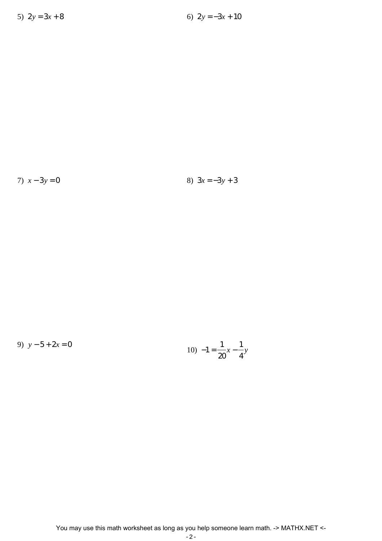7)  $x - 3y = 0$ 

8) 
$$
3x = -3y + 3
$$

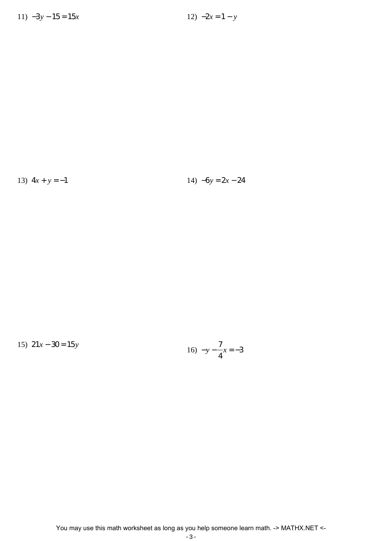13)  $4x + y = -1$  14)  $-6y = 2x - 24$ 

15) 21*x* − 30 = 15*y* 16) −*y* − 7 4 *x* = −3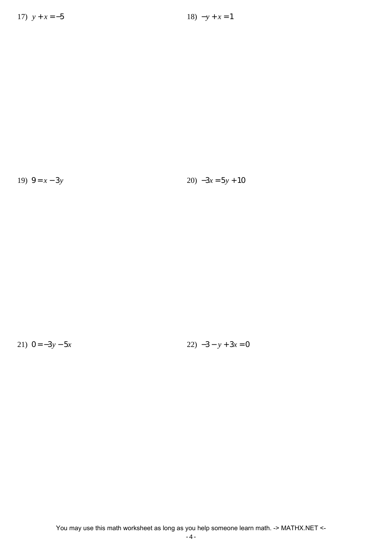19)  $9 = x - 3y$  20)  $-3x = 5y + 10$ 

21)  $0 = -3y - 5x$  22)  $-3 - y + 3x = 0$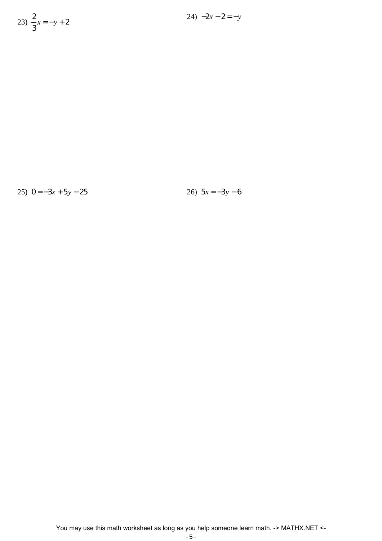23) 
$$
\frac{2}{3}x = -y + 2
$$

25)  $0 = -3x + 5y - 25$ <br>26)  $5x = -3y - 6$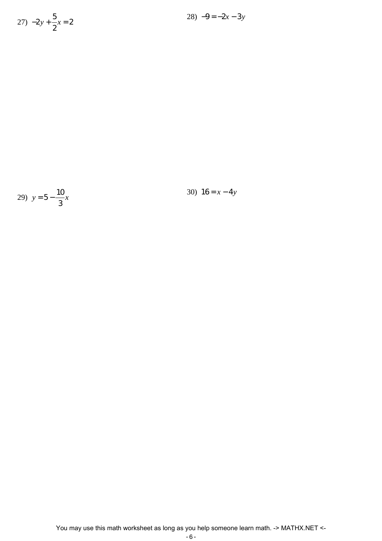$$
27) -2y + \frac{5}{2}x = 2
$$



30)  $16 = x - 4y$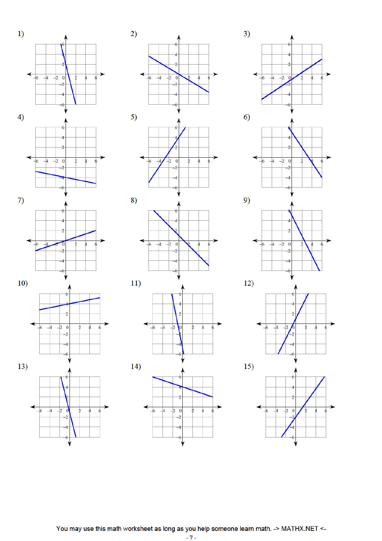

























You may use this math worksheet as long as you help someone learn math. -> MATHX.NET <-

 $-7-$